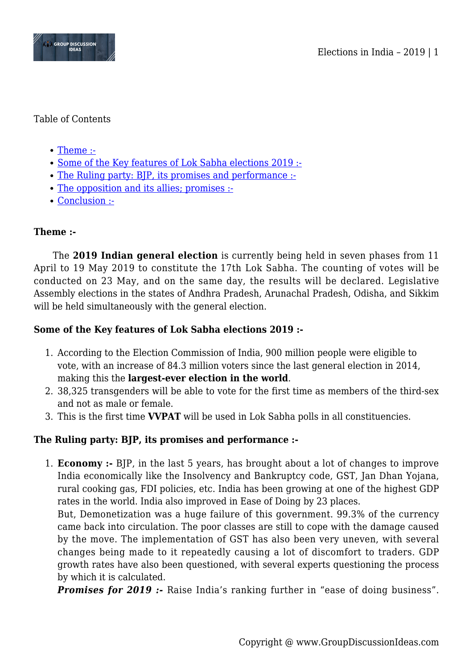

## Table of Contents

- [Theme :-](#page--1-0)
- [Some of the Key features of Lok Sabha elections 2019 :-](#page--1-0)
- [The Ruling party: BJP, its promises and performance :-](#page--1-0)
- [The opposition and its allies; promises :-](#page--1-0)
- [Conclusion :-](#page--1-0)

# **Theme :-**

The **2019 Indian general election** is currently being held in seven phases from 11 April to 19 May 2019 to constitute the 17th Lok Sabha. The counting of votes will be conducted on 23 May, and on the same day, the results will be declared. Legislative Assembly elections in the states of Andhra Pradesh, Arunachal Pradesh, Odisha, and Sikkim will be held simultaneously with the general election.

## **Some of the Key features of Lok Sabha elections 2019 :-**

- 1. According to the Election Commission of India, 900 million people were eligible to vote, with an increase of 84.3 million voters since the last general election in 2014, making this the **largest-ever election in the world**.
- 2. 38,325 transgenders will be able to vote for the first time as members of the third-sex and not as male or female.
- 3. This is the first time **VVPAT** will be used in Lok Sabha polls in all constituencies.

# **The Ruling party: BJP, its promises and performance :-**

1. **Economy :-** BJP, in the last 5 years, has brought about a lot of changes to improve India economically like the Insolvency and Bankruptcy code, GST, Jan Dhan Yojana, rural cooking gas, FDI policies, etc. India has been growing at one of the highest GDP rates in the world. India also improved in Ease of Doing by 23 places.

But, Demonetization was a huge failure of this government. 99.3% of the currency came back into circulation. The poor classes are still to cope with the damage caused by the move. The implementation of GST has also been very uneven, with several changes being made to it repeatedly causing a lot of discomfort to traders. GDP growth rates have also been questioned, with several experts questioning the process by which it is calculated.

**Promises for 2019 :-** Raise India's ranking further in "ease of doing business".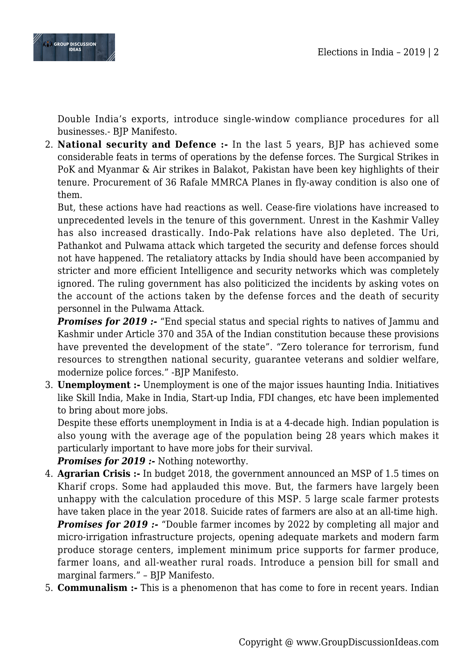

Double India's exports, introduce single-window compliance procedures for all businesses.- BJP Manifesto.

2. **National security and Defence :-** In the last 5 years, BJP has achieved some considerable feats in terms of operations by the defense forces. The Surgical Strikes in PoK and Myanmar & Air strikes in Balakot, Pakistan have been key highlights of their tenure. Procurement of 36 Rafale MMRCA Planes in fly-away condition is also one of them.

But, these actions have had reactions as well. Cease-fire violations have increased to unprecedented levels in the tenure of this government. Unrest in the Kashmir Valley has also increased drastically. Indo-Pak relations have also depleted. The Uri, Pathankot and Pulwama attack which targeted the security and defense forces should not have happened. The retaliatory attacks by India should have been accompanied by stricter and more efficient Intelligence and security networks which was completely ignored. The ruling government has also politicized the incidents by asking votes on the account of the actions taken by the defense forces and the death of security personnel in the Pulwama Attack.

**Promises for 2019 :-** "End special status and special rights to natives of Jammu and Kashmir under Article 370 and 35A of the Indian constitution because these provisions have prevented the development of the state". "Zero tolerance for terrorism, fund resources to strengthen national security, guarantee veterans and soldier welfare, modernize police forces." -BJP Manifesto.

3. **Unemployment :-** Unemployment is one of the major issues haunting India. Initiatives like Skill India, Make in India, Start-up India, FDI changes, etc have been implemented to bring about more jobs.

Despite these efforts unemployment in India is at a 4-decade high. Indian population is also young with the average age of the population being 28 years which makes it particularly important to have more jobs for their survival.

*Promises for 2019 :-* Nothing noteworthy.

- 4. **Agrarian Crisis :-** In budget 2018, the government announced an MSP of 1.5 times on Kharif crops. Some had applauded this move. But, the farmers have largely been unhappy with the calculation procedure of this MSP. 5 large scale farmer protests have taken place in the year 2018. Suicide rates of farmers are also at an all-time high. *Promises for 2019 :-* "Double farmer incomes by 2022 by completing all major and micro-irrigation infrastructure projects, opening adequate markets and modern farm produce storage centers, implement minimum price supports for farmer produce, farmer loans, and all-weather rural roads. Introduce a pension bill for small and marginal farmers." – BJP Manifesto.
- 5. **Communalism :-** This is a phenomenon that has come to fore in recent years. Indian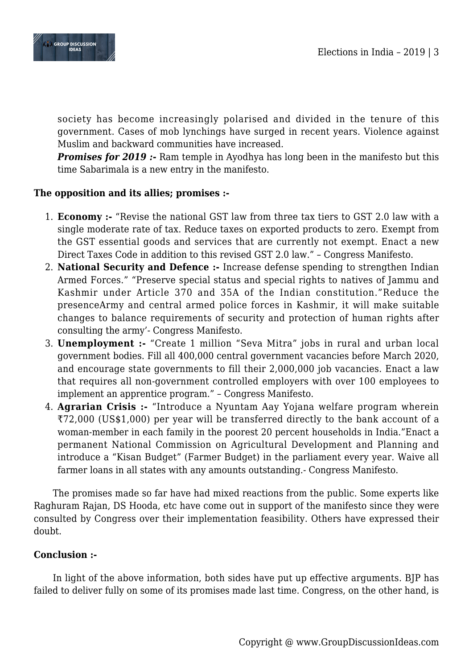



society has become increasingly polarised and divided in the tenure of this government. Cases of mob lynchings have surged in recent years. Violence against Muslim and backward communities have increased.

**Promises for 2019 :-** Ram temple in Ayodhya has long been in the manifesto but this time Sabarimala is a new entry in the manifesto.

## **The opposition and its allies; promises :-**

- 1. **Economy :-** "Revise the national GST law from three tax tiers to GST 2.0 law with a single moderate rate of tax. Reduce taxes on exported products to zero. Exempt from the GST essential goods and services that are currently not exempt. Enact a new Direct Taxes Code in addition to this revised GST 2.0 law." – Congress Manifesto.
- 2. **National Security and Defence :-** Increase defense spending to strengthen Indian Armed Forces." "Preserve special status and special rights to natives of Jammu and Kashmir under Article 370 and 35A of the Indian constitution."Reduce the presenceArmy and central armed police forces in Kashmir, it will make suitable changes to balance requirements of security and protection of human rights after consulting the army'- Congress Manifesto.
- 3. **Unemployment :-** "Create 1 million "Seva Mitra" jobs in rural and urban local government bodies. Fill all 400,000 central government vacancies before March 2020, and encourage state governments to fill their 2,000,000 job vacancies. Enact a law that requires all non-government controlled employers with over 100 employees to implement an apprentice program." – Congress Manifesto.
- 4. **Agrarian Crisis :-** "Introduce a Nyuntam Aay Yojana welfare program wherein ₹72,000 (US\$1,000) per year will be transferred directly to the bank account of a woman-member in each family in the poorest 20 percent households in India."Enact a permanent National Commission on Agricultural Development and Planning and introduce a "Kisan Budget" (Farmer Budget) in the parliament every year. Waive all farmer loans in all states with any amounts outstanding.- Congress Manifesto.

The promises made so far have had mixed reactions from the public. Some experts like Raghuram Rajan, DS Hooda, etc have come out in support of the manifesto since they were consulted by Congress over their implementation feasibility. Others have expressed their doubt.

#### **Conclusion :-**

In light of the above information, both sides have put up effective arguments. BJP has failed to deliver fully on some of its promises made last time. Congress, on the other hand, is